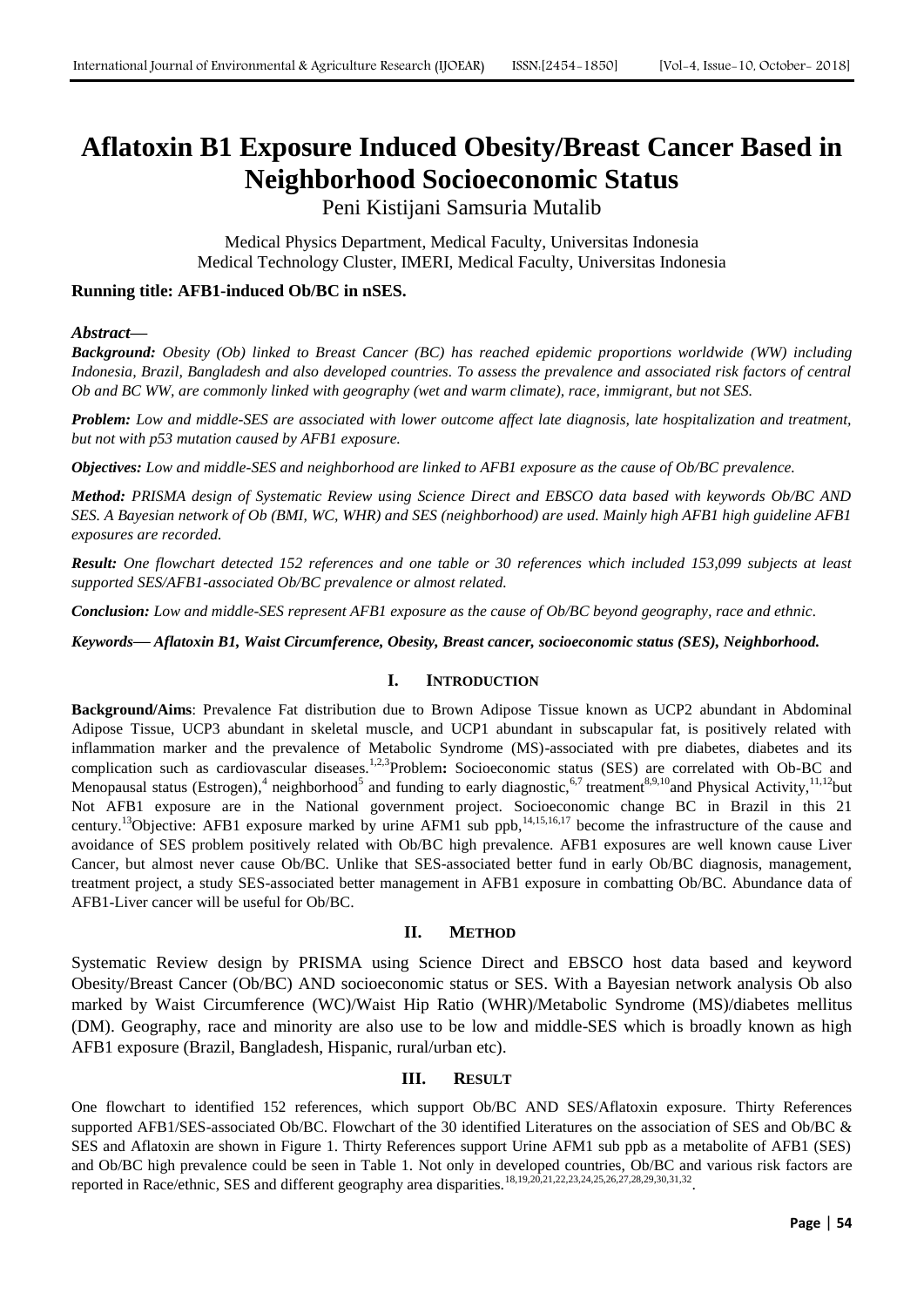# **Aflatoxin B1 Exposure Induced Obesity/Breast Cancer Based in Neighborhood Socioeconomic Status**

Peni Kistijani Samsuria Mutalib

Medical Physics Department, Medical Faculty, Universitas Indonesia Medical Technology Cluster, IMERI, Medical Faculty, Universitas Indonesia

## **Running title: AFB1-induced Ob/BC in nSES.**

## *Abstract***—**

*Background: Obesity (Ob) linked to Breast Cancer (BC) has reached epidemic proportions worldwide (WW) including Indonesia, Brazil, Bangladesh and also developed countries. To assess the prevalence and associated risk factors of central Ob and BC WW, are commonly linked with geography (wet and warm climate), race, immigrant, but not SES.*

*Problem: Low and middle-SES are associated with lower outcome affect late diagnosis, late hospitalization and treatment, but not with p53 mutation caused by AFB1 exposure.*

*Objectives: Low and middle-SES and neighborhood are linked to AFB1 exposure as the cause of Ob/BC prevalence.*

*Method: PRISMA design of Systematic Review using Science Direct and EBSCO data based with keywords Ob/BC AND SES. A Bayesian network of Ob (BMI, WC, WHR) and SES (neighborhood) are used. Mainly high AFB1 high guideline AFB1 exposures are recorded.*

*Result: One flowchart detected 152 references and one table or 30 references which included 153,099 subjects at least supported SES/AFB1-associated Ob/BC prevalence or almost related.*

*Conclusion: Low and middle-SES represent AFB1 exposure as the cause of Ob/BC beyond geography, race and ethnic.*

*Keywords***—** *Aflatoxin B1, Waist Circumference, Obesity, Breast cancer, socioeconomic status (SES), Neighborhood.*

## **I. INTRODUCTION**

**Background/Aims**: Prevalence Fat distribution due to Brown Adipose Tissue known as UCP2 abundant in Abdominal Adipose Tissue, UCP3 abundant in skeletal muscle, and UCP1 abundant in subscapular fat, is positively related with inflammation marker and the prevalence of Metabolic Syndrome (MS)-associated with pre diabetes, diabetes and its complication such as cardiovascular diseases.1,2,3Problem**:** Socioeconomic status (SES) are correlated with Ob-BC and Menopausal status (Estrogen),<sup>4</sup> neighborhood<sup>5</sup> and funding to early diagnostic,<sup>6,7</sup> treatment<sup>8,9,10</sup>and Physical Activity,<sup>11,12</sup>but Not AFB1 exposure are in the National government project. Socioeconomic change BC in Brazil in this 21 century.<sup>13</sup>Objective: AFB1 exposure marked by urine AFM1 sub ppb,<sup>14,15,16,17</sup> become the infrastructure of the cause and avoidance of SES problem positively related with Ob/BC high prevalence. AFB1 exposures are well known cause Liver Cancer, but almost never cause Ob/BC. Unlike that SES-associated better fund in early Ob/BC diagnosis, management, treatment project, a study SES-associated better management in AFB1 exposure in combatting Ob/BC. Abundance data of AFB1-Liver cancer will be useful for Ob/BC.

## **II. METHOD**

Systematic Review design by PRISMA using Science Direct and EBSCO host data based and keyword Obesity/Breast Cancer (Ob/BC) AND socioeconomic status or SES. With a Bayesian network analysis Ob also marked by Waist Circumference (WC)/Waist Hip Ratio (WHR)/Metabolic Syndrome (MS)/diabetes mellitus (DM). Geography, race and minority are also use to be low and middle-SES which is broadly known as high AFB1 exposure (Brazil, Bangladesh, Hispanic, rural/urban etc).

## **III. RESULT**

One flowchart to identified 152 references, which support Ob/BC AND SES/Aflatoxin exposure. Thirty References supported AFB1/SES-associated Ob/BC. Flowchart of the 30 identified Literatures on the association of SES and Ob/BC & SES and Aflatoxin are shown in Figure 1. Thirty References support Urine AFM1 sub ppb as a metabolite of AFB1 (SES) and Ob/BC high prevalence could be seen in Table 1. Not only in developed countries, Ob/BC and various risk factors are reported in Race/ethnic, SES and different geography area disparities.<sup>18,19,20,21,22,23,24,25,26,27,28,29,30,31,32</sup>.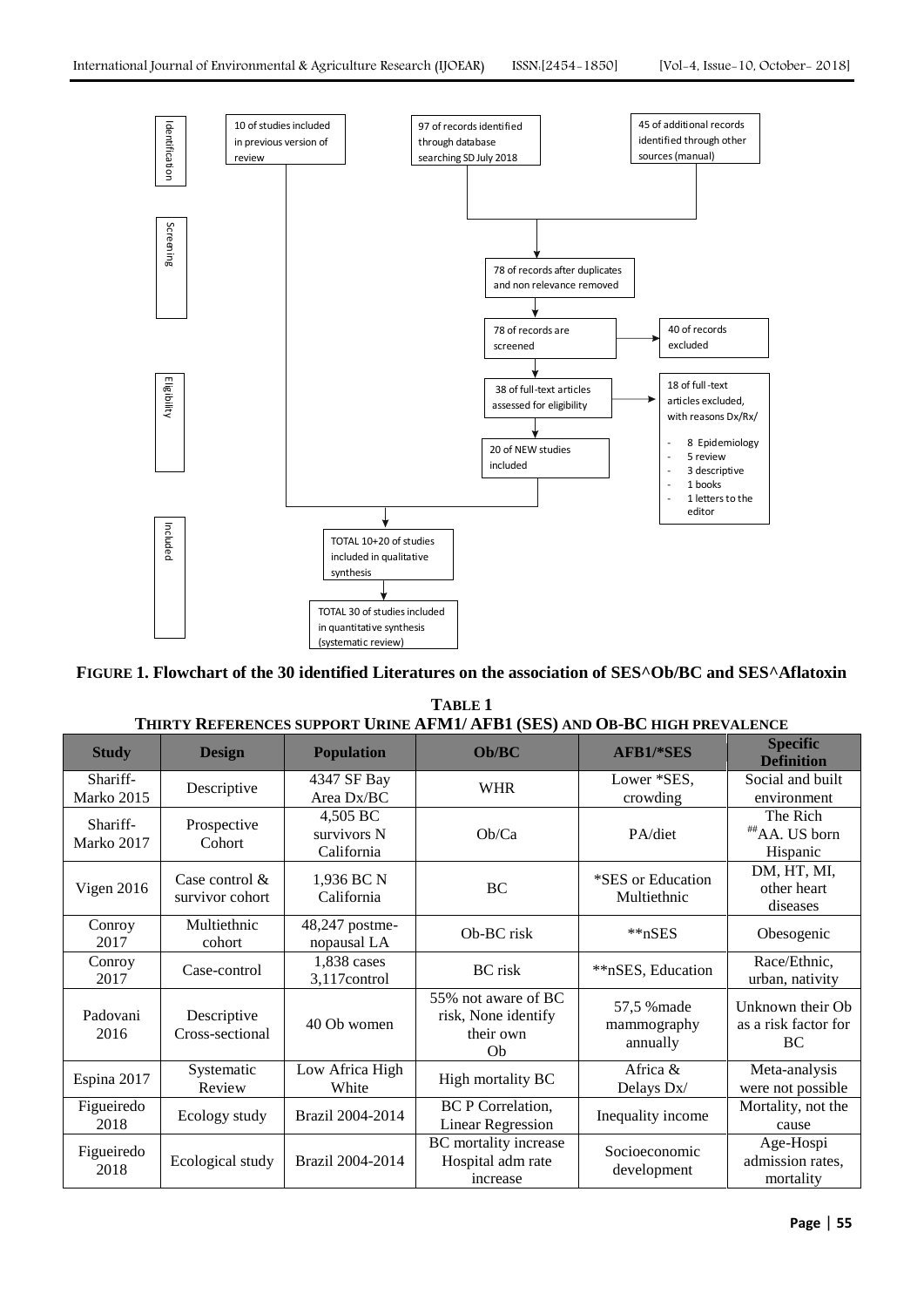

**FIGURE 1. Flowchart of the 30 identified Literatures on the association of SES^Ob/BC and SES^Aflatoxin**

**TABLE 1 THIRTY REFERENCES SUPPORT URINE AFM1/ AFB1 (SES) AND OB-BC HIGH PREVALENCE**

| <b>Study</b>           | <b>Design</b>                        | <b>Population</b>                     | Ob/BC                                                         | <b>AFB1/*SES</b>                       | <b>Specific</b><br><b>Definition</b>           |
|------------------------|--------------------------------------|---------------------------------------|---------------------------------------------------------------|----------------------------------------|------------------------------------------------|
| Shariff-<br>Marko 2015 | Descriptive                          | 4347 SF Bay<br>Area Dx/BC             | <b>WHR</b>                                                    | Lower *SES,<br>crowding                | Social and built<br>environment                |
| Shariff-<br>Marko 2017 | Prospective<br>Cohort                | 4,505 BC<br>survivors N<br>California | Ob/Ca                                                         | PA/diet                                | The Rich<br>##AA. US born<br>Hispanic          |
| Vigen 2016             | Case control $\&$<br>survivor cohort | 1,936 BC N<br>California              | BC                                                            | *SES or Education<br>Multiethnic       | DM, HT, MI,<br>other heart<br>diseases         |
| Conroy<br>2017         | Multiethnic<br>cohort                | 48,247 postme-<br>nopausal LA         | Ob-BC risk                                                    | $*nSES$                                | Obesogenic                                     |
| Conroy<br>2017         | Case-control                         | 1,838 cases<br>3,117control           | <b>BC</b> risk                                                | **nSES, Education                      | Race/Ethnic,<br>urban, nativity                |
| Padovani<br>2016       | Descriptive<br>Cross-sectional       | 40 Ob women                           | 55% not aware of BC<br>risk, None identify<br>their own<br>Ob | 57,5 % made<br>mammography<br>annually | Unknown their Ob<br>as a risk factor for<br>BC |
| Espina 2017            | Systematic<br>Review                 | Low Africa High<br>White              | High mortality BC                                             | Africa &<br>Delays Dx/                 | Meta-analysis<br>were not possible             |
| Figueiredo<br>2018     | Ecology study                        | Brazil 2004-2014                      | <b>BC</b> P Correlation,<br><b>Linear Regression</b>          | Inequality income                      | Mortality, not the<br>cause                    |
| Figueiredo<br>2018     | Ecological study                     | Brazil 2004-2014                      | BC mortality increase<br>Hospital adm rate<br>increase        | Socioeconomic<br>development           | Age-Hospi<br>admission rates,<br>mortality     |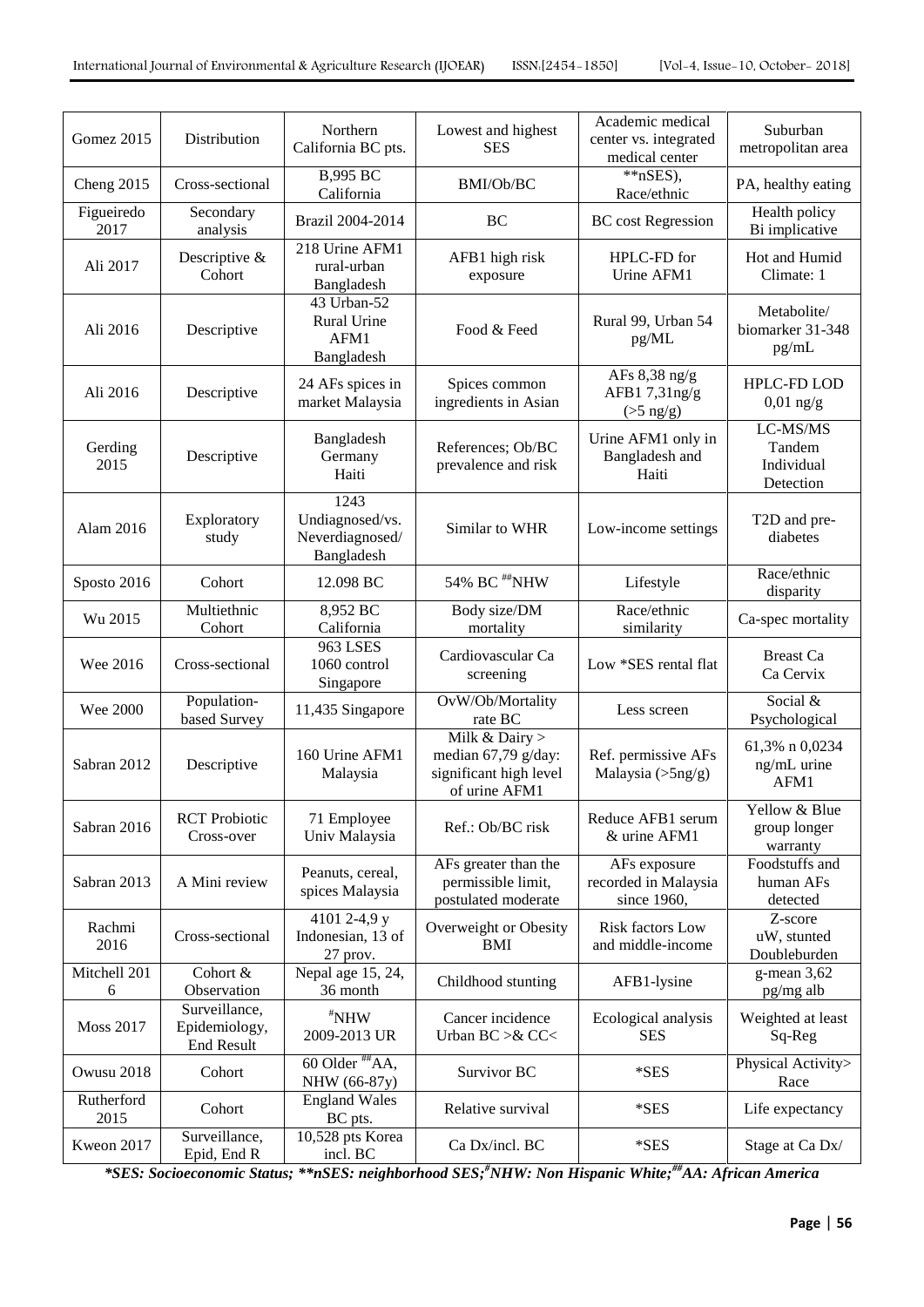| Gomez 2015         | Distribution                                 | Northern<br>California BC pts.                           | Lowest and highest<br><b>SES</b>                                                   | Academic medical<br>center vs. integrated<br>medical center | Suburban<br>metropolitan area                 |
|--------------------|----------------------------------------------|----------------------------------------------------------|------------------------------------------------------------------------------------|-------------------------------------------------------------|-----------------------------------------------|
| Cheng 2015         | Cross-sectional                              | <b>B,995 BC</b><br>California                            | BMI/Ob/BC                                                                          | $*nSES$ ,<br>Race/ethnic                                    | PA, healthy eating                            |
| Figueiredo<br>2017 | Secondary<br>analysis                        | Brazil 2004-2014                                         | BC                                                                                 | <b>BC</b> cost Regression                                   | Health policy<br>Bi implicative               |
| Ali 2017           | Descriptive &<br>Cohort                      | 218 Urine AFM1<br>rural-urban<br>Bangladesh              | AFB1 high risk<br>exposure                                                         | HPLC-FD for<br>Urine AFM1                                   | Hot and Humid<br>Climate: 1                   |
| Ali 2016           | Descriptive                                  | 43 Urban-52<br><b>Rural Urine</b><br>AFM1<br>Bangladesh  | Food & Feed                                                                        | Rural 99, Urban 54<br>pg/ML                                 | Metabolite/<br>biomarker 31-348<br>pg/mL      |
| Ali 2016           | Descriptive                                  | 24 AFs spices in<br>market Malaysia                      | Spices common<br>ingredients in Asian                                              | AFs $8,38$ ng/g<br>AFB17,31ng/g<br>$($ >5 ng/g $)$          | HPLC-FD LOD<br>$0,01$ ng/g                    |
| Gerding<br>2015    | Descriptive                                  | Bangladesh<br>Germany<br>Haiti                           | References; Ob/BC<br>prevalence and risk                                           | Urine AFM1 only in<br>Bangladesh and<br>Haiti               | LC-MS/MS<br>Tandem<br>Individual<br>Detection |
| Alam 2016          | Exploratory<br>study                         | 1243<br>Undiagnosed/vs.<br>Neverdiagnosed/<br>Bangladesh | Similar to WHR                                                                     | Low-income settings                                         | T2D and pre-<br>diabetes                      |
| Sposto 2016        | Cohort                                       | 12.098 BC                                                | 54% BC #NHW                                                                        | Lifestyle                                                   | Race/ethnic<br>disparity                      |
| Wu 2015            | Multiethnic<br>Cohort                        | 8,952 BC<br>California                                   | Body size/DM<br>mortality                                                          | Race/ethnic<br>similarity                                   | Ca-spec mortality                             |
| Wee 2016           | Cross-sectional                              | <b>963 LSES</b><br>1060 control<br>Singapore             | Cardiovascular Ca<br>screening                                                     | Low *SES rental flat                                        | <b>Breast Ca</b><br>Ca Cervix                 |
| <b>Wee 2000</b>    | Population-<br>based Survey                  | 11,435 Singapore                                         | OvW/Ob/Mortality<br>rate BC                                                        | Less screen                                                 | Social &<br>Psychological                     |
| Sabran 2012        | Descriptive                                  | 160 Urine AFM1<br>Malaysia                               | Milk & Dairy $>$<br>median 67,79 g/day:<br>significant high level<br>of urine AFM1 | Ref. permissive AFs<br>Malaysia $(>\frac{5}{9})$            | 61,3% n 0,0234<br>ng/mL urine<br>AFM1         |
| Sabran 2016        | <b>RCT</b> Probiotic<br>Cross-over           | 71 Employee<br>Univ Malaysia                             | Ref.: Ob/BC risk                                                                   | Reduce AFB1 serum<br>& urine AFM1                           | Yellow & Blue<br>group longer<br>warranty     |
| Sabran 2013        | A Mini review                                | Peanuts, cereal,<br>spices Malaysia                      | AFs greater than the<br>permissible limit,<br>postulated moderate                  | AFs exposure<br>recorded in Malaysia<br>since 1960,         | Foodstuffs and<br>human AFs<br>detected       |
| Rachmi<br>2016     | Cross-sectional                              | 4101 2-4,9 y<br>Indonesian, 13 of<br>27 prov.            | Overweight or Obesity<br>BMI                                                       | Risk factors Low<br>and middle-income                       | Z-score<br>uW, stunted<br>Doubleburden        |
| Mitchell 201<br>6  | Cohort &<br>Observation                      | Nepal age 15, 24,<br>36 month                            | Childhood stunting                                                                 | AFB1-lysine                                                 | $g$ -mean 3,62<br>pg/mg alb                   |
| <b>Moss 2017</b>   | Surveillance,<br>Epidemiology,<br>End Result | $*$ NHW<br>2009-2013 UR                                  | Cancer incidence<br>Urban BC >& CC<                                                | Ecological analysis<br><b>SES</b>                           | Weighted at least<br>Sq-Reg                   |
| Owusu 2018         | Cohort                                       | $60$ Older $H_{\rm AA}$ ,<br>NHW (66-87y)                | Survivor BC                                                                        | *SES                                                        | Physical Activity><br>Race                    |
| Rutherford<br>2015 | Cohort                                       | <b>England Wales</b><br>BC pts.                          | Relative survival                                                                  | $*$ SES                                                     | Life expectancy                               |
| Kweon 2017         | Surveillance,<br>Epid, End R                 | 10,528 pts Korea<br>incl. BC                             | Ca Dx/incl. BC                                                                     | *SES                                                        | Stage at Ca Dx/                               |

*\*SES: Socioeconomic Status; \*\*nSES: neighborhood SES;#NHW: Non Hispanic White;##AA: African America*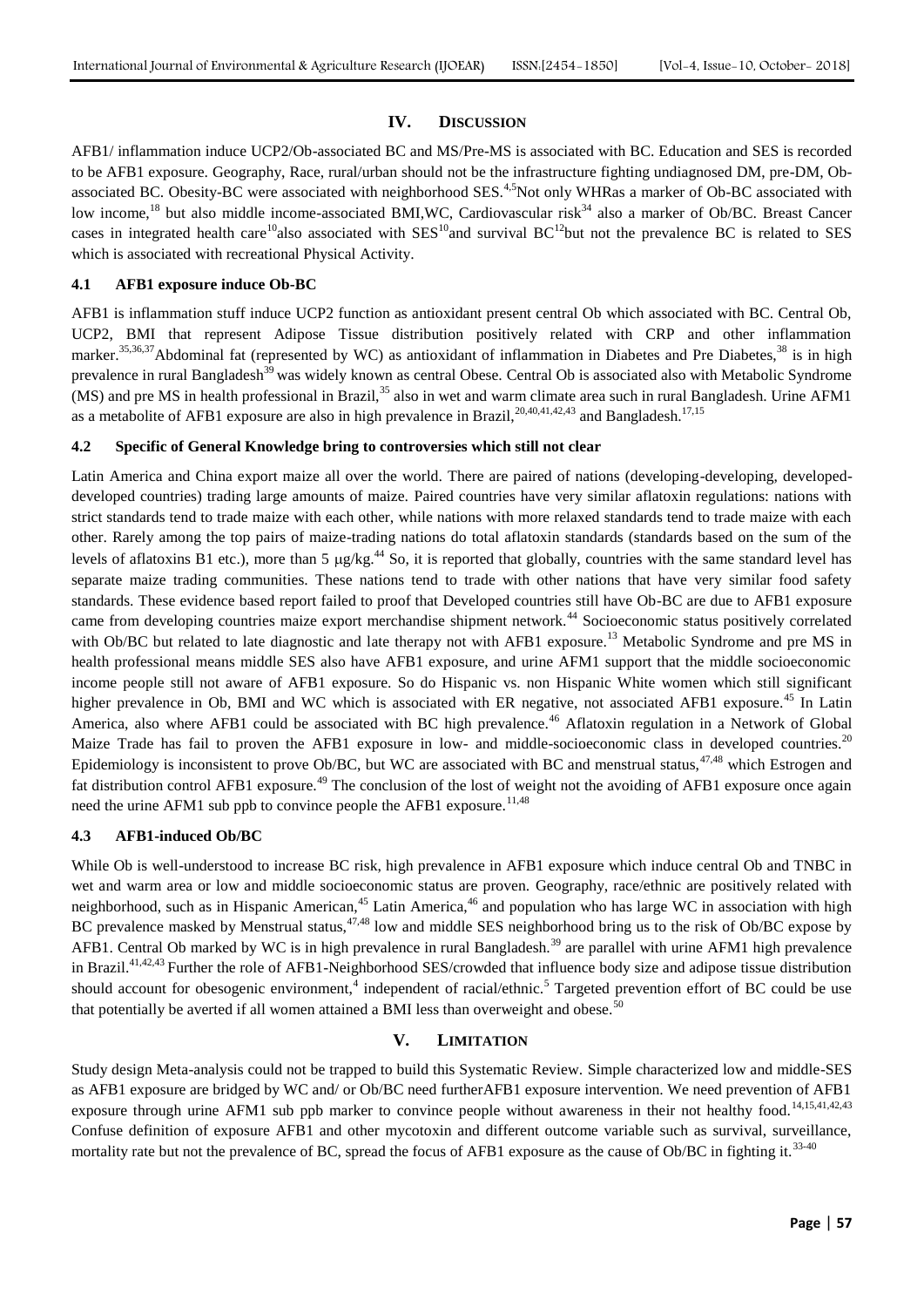## **IV. DISCUSSION**

AFB1/ inflammation induce UCP2/Ob-associated BC and MS/Pre-MS is associated with BC. Education and SES is recorded to be AFB1 exposure. Geography, Race, rural/urban should not be the infrastructure fighting undiagnosed DM, pre-DM, Obassociated BC. Obesity-BC were associated with neighborhood SES.<sup>4,5</sup>Not only WHRas a marker of Ob-BC associated with low income,<sup>18</sup> but also middle income-associated BMI,WC, Cardiovascular risk<sup>34</sup> also a marker of Ob/BC. Breast Cancer cases in integrated health care<sup>10</sup>also associated with  $SES^{10}$  and survival BC<sup>12</sup>but not the prevalence BC is related to SES which is associated with recreational Physical Activity.

## **4.1 AFB1 exposure induce Ob-BC**

AFB1 is inflammation stuff induce UCP2 function as antioxidant present central Ob which associated with BC. Central Ob, UCP2, BMI that represent Adipose Tissue distribution positively related with CRP and other inflammation marker.<sup>35,36,37</sup>Abdominal fat (represented by WC) as antioxidant of inflammation in Diabetes and Pre Diabetes,<sup>38</sup> is in high prevalence in rural Bangladesh<sup>39</sup> was widely known as central Obese. Central Ob is associated also with Metabolic Syndrome (MS) and pre MS in health professional in Brazil,<sup>35</sup> also in wet and warm climate area such in rural Bangladesh. Urine AFM1 as a metabolite of AFB1 exposure are also in high prevalence in Brazil, <sup>20,40,41,42,43</sup> and Bangladesh.<sup>17,15</sup>

## **4.2 Specific of General Knowledge bring to controversies which still not clear**

Latin America and China export maize all over the world. There are paired of nations (developing-developing, developeddeveloped countries) trading large amounts of maize. Paired countries have very similar aflatoxin regulations: nations with strict standards tend to trade maize with each other, while nations with more relaxed standards tend to trade maize with each other. Rarely among the top pairs of maize-trading nations do total aflatoxin standards (standards based on the sum of the levels of aflatoxins B1 etc.), more than 5  $\mu$ g/kg.<sup>44</sup> So, it is reported that globally, countries with the same standard level has separate maize trading communities. These nations tend to trade with other nations that have very similar food safety standards. These evidence based report failed to proof that Developed countries still have Ob-BC are due to AFB1 exposure came from developing countries maize export merchandise shipment network.<sup>44</sup> Socioeconomic status positively correlated with Ob/BC but related to late diagnostic and late therapy not with AFB1 exposure.<sup>13</sup> Metabolic Syndrome and pre MS in health professional means middle SES also have AFB1 exposure, and urine AFM1 support that the middle socioeconomic income people still not aware of AFB1 exposure. So do Hispanic vs. non Hispanic White women which still significant higher prevalence in Ob, BMI and WC which is associated with ER negative, not associated AFB1 exposure.<sup>45</sup> In Latin America, also where AFB1 could be associated with BC high prevalence.<sup>46</sup> Aflatoxin regulation in a Network of Global Maize Trade has fail to proven the AFB1 exposure in low- and middle-socioeconomic class in developed countries.<sup>20</sup> Epidemiology is inconsistent to prove Ob/BC, but WC are associated with BC and menstrual status, $47.48$  which Estrogen and fat distribution control AFB1 exposure.<sup>49</sup> The conclusion of the lost of weight not the avoiding of AFB1 exposure once again need the urine AFM1 sub ppb to convince people the AFB1 exposure.<sup>11,48</sup>

# **4.3 AFB1-induced Ob/BC**

While Ob is well-understood to increase BC risk, high prevalence in AFB1 exposure which induce central Ob and TNBC in wet and warm area or low and middle socioeconomic status are proven. Geography, race/ethnic are positively related with neighborhood, such as in Hispanic American,<sup>45</sup> Latin America,<sup>46</sup> and population who has large WC in association with high BC prevalence masked by Menstrual status, $47,48$  low and middle SES neighborhood bring us to the risk of Ob/BC expose by AFB1. Central Ob marked by WC is in high prevalence in rural Bangladesh.<sup>39</sup> are parallel with urine AFM1 high prevalence in Brazil.<sup>41,42,43</sup> Further the role of AFB1-Neighborhood SES/crowded that influence body size and adipose tissue distribution should account for obesogenic environment,<sup>4</sup> independent of racial/ethnic.<sup>5</sup> Targeted prevention effort of BC could be use that potentially be averted if all women attained a BMI less than overweight and obese.<sup>50</sup>

# **V. LIMITATION**

Study design Meta-analysis could not be trapped to build this Systematic Review. Simple characterized low and middle-SES as AFB1 exposure are bridged by WC and/ or Ob/BC need furtherAFB1 exposure intervention. We need prevention of AFB1 exposure through urine AFM1 sub ppb marker to convince people without awareness in their not healthy food.<sup>14,15,41,42,43</sup> Confuse definition of exposure AFB1 and other mycotoxin and different outcome variable such as survival, surveillance, mortality rate but not the prevalence of BC, spread the focus of AFB1 exposure as the cause of Ob/BC in fighting it.<sup>33-40</sup>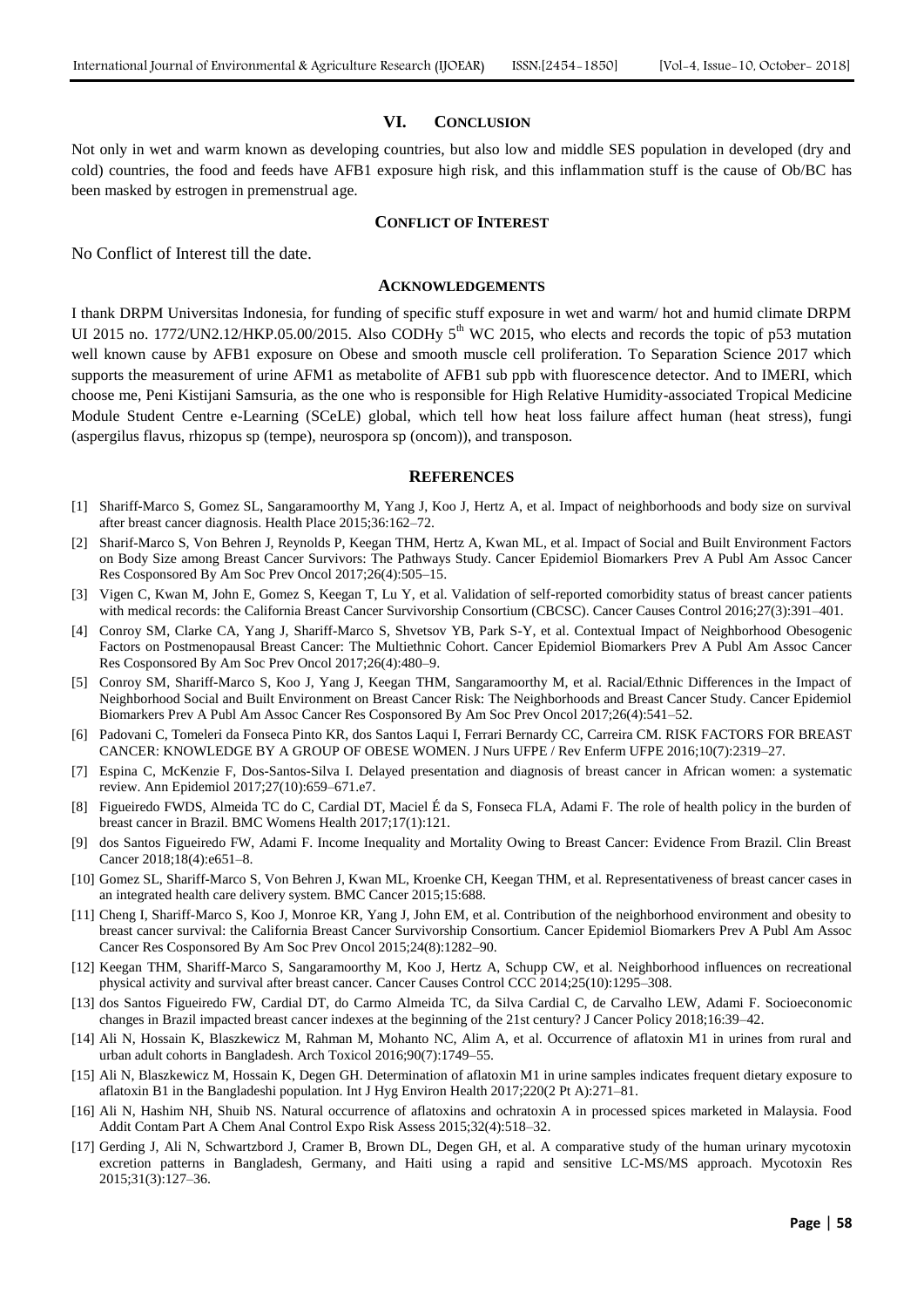#### **VI. CONCLUSION**

Not only in wet and warm known as developing countries, but also low and middle SES population in developed (dry and cold) countries, the food and feeds have AFB1 exposure high risk, and this inflammation stuff is the cause of Ob/BC has been masked by estrogen in premenstrual age.

#### **CONFLICT OF INTEREST**

No Conflict of Interest till the date.

#### **ACKNOWLEDGEMENTS**

I thank DRPM Universitas Indonesia, for funding of specific stuff exposure in wet and warm/ hot and humid climate DRPM UI 2015 no. 1772/UN2.12/HKP.05.00/2015. Also CODHy  $5<sup>th</sup>$  WC 2015, who elects and records the topic of p53 mutation well known cause by AFB1 exposure on Obese and smooth muscle cell proliferation. To Separation Science 2017 which supports the measurement of urine AFM1 as metabolite of AFB1 sub ppb with fluorescence detector. And to IMERI, which choose me, Peni Kistijani Samsuria, as the one who is responsible for High Relative Humidity-associated Tropical Medicine Module Student Centre e-Learning (SCeLE) global, which tell how heat loss failure affect human (heat stress), fungi (aspergilus flavus, rhizopus sp (tempe), neurospora sp (oncom)), and transposon.

#### **REFERENCES**

- [1] Shariff-Marco S, Gomez SL, Sangaramoorthy M, Yang J, Koo J, Hertz A, et al. Impact of neighborhoods and body size on survival after breast cancer diagnosis. Health Place 2015;36:162–72.
- [2] Sharif-Marco S, Von Behren J, Reynolds P, Keegan THM, Hertz A, Kwan ML, et al. Impact of Social and Built Environment Factors on Body Size among Breast Cancer Survivors: The Pathways Study. Cancer Epidemiol Biomarkers Prev A Publ Am Assoc Cancer Res Cosponsored By Am Soc Prev Oncol 2017;26(4):505–15.
- [3] Vigen C, Kwan M, John E, Gomez S, Keegan T, Lu Y, et al. Validation of self-reported comorbidity status of breast cancer patients with medical records: the California Breast Cancer Survivorship Consortium (CBCSC). Cancer Causes Control 2016;27(3):391–401.
- [4] Conroy SM, Clarke CA, Yang J, Shariff-Marco S, Shvetsov YB, Park S-Y, et al. Contextual Impact of Neighborhood Obesogenic Factors on Postmenopausal Breast Cancer: The Multiethnic Cohort. Cancer Epidemiol Biomarkers Prev A Publ Am Assoc Cancer Res Cosponsored By Am Soc Prev Oncol 2017;26(4):480–9.
- [5] Conroy SM, Shariff-Marco S, Koo J, Yang J, Keegan THM, Sangaramoorthy M, et al. Racial/Ethnic Differences in the Impact of Neighborhood Social and Built Environment on Breast Cancer Risk: The Neighborhoods and Breast Cancer Study. Cancer Epidemiol Biomarkers Prev A Publ Am Assoc Cancer Res Cosponsored By Am Soc Prev Oncol 2017;26(4):541–52.
- [6] Padovani C, Tomeleri da Fonseca Pinto KR, dos Santos Laqui I, Ferrari Bernardy CC, Carreira CM. RISK FACTORS FOR BREAST CANCER: KNOWLEDGE BY A GROUP OF OBESE WOMEN. J Nurs UFPE / Rev Enferm UFPE 2016;10(7):2319–27.
- [7] Espina C, McKenzie F, Dos-Santos-Silva I. Delayed presentation and diagnosis of breast cancer in African women: a systematic review. Ann Epidemiol 2017;27(10):659–671.e7.
- [8] Figueiredo FWDS, Almeida TC do C, Cardial DT, Maciel É da S, Fonseca FLA, Adami F. The role of health policy in the burden of breast cancer in Brazil. BMC Womens Health 2017;17(1):121.
- [9] dos Santos Figueiredo FW, Adami F. Income Inequality and Mortality Owing to Breast Cancer: Evidence From Brazil. Clin Breast Cancer 2018;18(4):e651–8.
- [10] Gomez SL, Shariff-Marco S, Von Behren J, Kwan ML, Kroenke CH, Keegan THM, et al. Representativeness of breast cancer cases in an integrated health care delivery system. BMC Cancer 2015;15:688.
- [11] Cheng I, Shariff-Marco S, Koo J, Monroe KR, Yang J, John EM, et al. Contribution of the neighborhood environment and obesity to breast cancer survival: the California Breast Cancer Survivorship Consortium. Cancer Epidemiol Biomarkers Prev A Publ Am Assoc Cancer Res Cosponsored By Am Soc Prev Oncol 2015;24(8):1282–90.
- [12] Keegan THM, Shariff-Marco S, Sangaramoorthy M, Koo J, Hertz A, Schupp CW, et al. Neighborhood influences on recreational physical activity and survival after breast cancer. Cancer Causes Control CCC 2014;25(10):1295–308.
- [13] dos Santos Figueiredo FW, Cardial DT, do Carmo Almeida TC, da Silva Cardial C, de Carvalho LEW, Adami F. Socioeconomic changes in Brazil impacted breast cancer indexes at the beginning of the 21st century? J Cancer Policy 2018;16:39–42.
- [14] Ali N, Hossain K, Blaszkewicz M, Rahman M, Mohanto NC, Alim A, et al. Occurrence of aflatoxin M1 in urines from rural and urban adult cohorts in Bangladesh. Arch Toxicol 2016;90(7):1749–55.
- [15] Ali N, Blaszkewicz M, Hossain K, Degen GH. Determination of aflatoxin M1 in urine samples indicates frequent dietary exposure to aflatoxin B1 in the Bangladeshi population. Int J Hyg Environ Health 2017;220(2 Pt A):271–81.
- [16] Ali N, Hashim NH, Shuib NS. Natural occurrence of aflatoxins and ochratoxin A in processed spices marketed in Malaysia. Food Addit Contam Part A Chem Anal Control Expo Risk Assess 2015;32(4):518–32.
- [17] Gerding J, Ali N, Schwartzbord J, Cramer B, Brown DL, Degen GH, et al. A comparative study of the human urinary mycotoxin excretion patterns in Bangladesh, Germany, and Haiti using a rapid and sensitive LC-MS/MS approach. Mycotoxin Res 2015;31(3):127–36.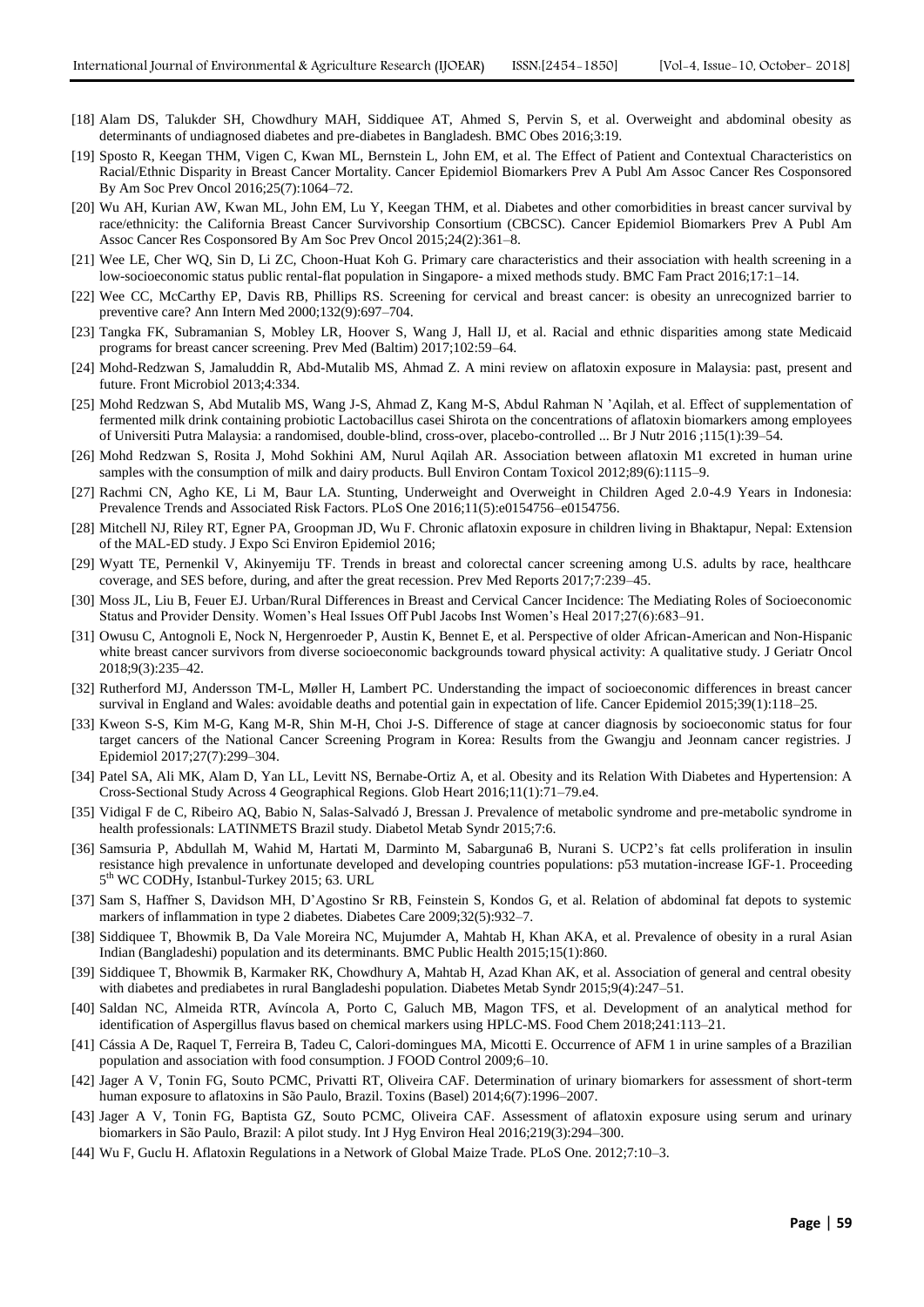- [18] Alam DS, Talukder SH, Chowdhury MAH, Siddiquee AT, Ahmed S, Pervin S, et al. Overweight and abdominal obesity as determinants of undiagnosed diabetes and pre-diabetes in Bangladesh. BMC Obes 2016;3:19.
- [19] Sposto R, Keegan THM, Vigen C, Kwan ML, Bernstein L, John EM, et al. The Effect of Patient and Contextual Characteristics on Racial/Ethnic Disparity in Breast Cancer Mortality. Cancer Epidemiol Biomarkers Prev A Publ Am Assoc Cancer Res Cosponsored By Am Soc Prev Oncol 2016;25(7):1064–72.
- [20] Wu AH, Kurian AW, Kwan ML, John EM, Lu Y, Keegan THM, et al. Diabetes and other comorbidities in breast cancer survival by race/ethnicity: the California Breast Cancer Survivorship Consortium (CBCSC). Cancer Epidemiol Biomarkers Prev A Publ Am Assoc Cancer Res Cosponsored By Am Soc Prev Oncol 2015;24(2):361–8.
- [21] Wee LE, Cher WQ, Sin D, Li ZC, Choon-Huat Koh G. Primary care characteristics and their association with health screening in a low-socioeconomic status public rental-flat population in Singapore- a mixed methods study. BMC Fam Pract 2016;17:1–14.
- [22] Wee CC, McCarthy EP, Davis RB, Phillips RS. Screening for cervical and breast cancer: is obesity an unrecognized barrier to preventive care? Ann Intern Med 2000;132(9):697–704.
- [23] Tangka FK, Subramanian S, Mobley LR, Hoover S, Wang J, Hall IJ, et al. Racial and ethnic disparities among state Medicaid programs for breast cancer screening. Prev Med (Baltim) 2017;102:59–64.
- [24] Mohd-Redzwan S, Jamaluddin R, Abd-Mutalib MS, Ahmad Z. A mini review on aflatoxin exposure in Malaysia: past, present and future. Front Microbiol 2013;4:334.
- [25] Mohd Redzwan S, Abd Mutalib MS, Wang J-S, Ahmad Z, Kang M-S, Abdul Rahman N 'Aqilah, et al. Effect of supplementation of fermented milk drink containing probiotic Lactobacillus casei Shirota on the concentrations of aflatoxin biomarkers among employees of Universiti Putra Malaysia: a randomised, double-blind, cross-over, placebo-controlled ... Br J Nutr 2016 ;115(1):39–54.
- [26] Mohd Redzwan S, Rosita J, Mohd Sokhini AM, Nurul Aqilah AR. Association between aflatoxin M1 excreted in human urine samples with the consumption of milk and dairy products. Bull Environ Contam Toxicol 2012;89(6):1115–9.
- [27] Rachmi CN, Agho KE, Li M, Baur LA. Stunting, Underweight and Overweight in Children Aged 2.0-4.9 Years in Indonesia: Prevalence Trends and Associated Risk Factors. PLoS One 2016;11(5):e0154756–e0154756.
- [28] Mitchell NJ, Riley RT, Egner PA, Groopman JD, Wu F. Chronic aflatoxin exposure in children living in Bhaktapur, Nepal: Extension of the MAL-ED study. J Expo Sci Environ Epidemiol 2016;
- [29] Wyatt TE, Pernenkil V, Akinyemiju TF. Trends in breast and colorectal cancer screening among U.S. adults by race, healthcare coverage, and SES before, during, and after the great recession. Prev Med Reports 2017;7:239–45.
- [30] Moss JL, Liu B, Feuer EJ. Urban/Rural Differences in Breast and Cervical Cancer Incidence: The Mediating Roles of Socioeconomic Status and Provider Density. Women's Heal Issues Off Publ Jacobs Inst Women's Heal 2017;27(6):683–91.
- [31] Owusu C, Antognoli E, Nock N, Hergenroeder P, Austin K, Bennet E, et al. Perspective of older African-American and Non-Hispanic white breast cancer survivors from diverse socioeconomic backgrounds toward physical activity: A qualitative study. J Geriatr Oncol 2018;9(3):235–42.
- [32] Rutherford MJ, Andersson TM-L, Møller H, Lambert PC. Understanding the impact of socioeconomic differences in breast cancer survival in England and Wales: avoidable deaths and potential gain in expectation of life. Cancer Epidemiol 2015;39(1):118–25.
- [33] Kweon S-S, Kim M-G, Kang M-R, Shin M-H, Choi J-S. Difference of stage at cancer diagnosis by socioeconomic status for four target cancers of the National Cancer Screening Program in Korea: Results from the Gwangju and Jeonnam cancer registries. J Epidemiol 2017;27(7):299–304.
- [34] Patel SA, Ali MK, Alam D, Yan LL, Levitt NS, Bernabe-Ortiz A, et al. Obesity and its Relation With Diabetes and Hypertension: A Cross-Sectional Study Across 4 Geographical Regions. Glob Heart 2016;11(1):71–79.e4.
- [35] Vidigal F de C, Ribeiro AQ, Babio N, Salas-Salvadó J, Bressan J. Prevalence of metabolic syndrome and pre-metabolic syndrome in health professionals: LATINMETS Brazil study. Diabetol Metab Syndr 2015;7:6.
- [36] Samsuria P, Abdullah M, Wahid M, Hartati M, Darminto M, Sabarguna6 B, Nurani S. UCP2's fat cells proliferation in insulin resistance high prevalence in unfortunate developed and developing countries populations: p53 mutation-increase IGF-1. Proceeding 5<sup>th</sup> WC CODHy, Istanbul-Turkey 2015; 63. URL
- [37] Sam S, Haffner S, Davidson MH, D'Agostino Sr RB, Feinstein S, Kondos G, et al. Relation of abdominal fat depots to systemic markers of inflammation in type 2 diabetes. Diabetes Care 2009;32(5):932–7.
- [38] Siddiquee T, Bhowmik B, Da Vale Moreira NC, Mujumder A, Mahtab H, Khan AKA, et al. Prevalence of obesity in a rural Asian Indian (Bangladeshi) population and its determinants. BMC Public Health 2015;15(1):860.
- [39] Siddiquee T, Bhowmik B, Karmaker RK, Chowdhury A, Mahtab H, Azad Khan AK, et al. Association of general and central obesity with diabetes and prediabetes in rural Bangladeshi population. Diabetes Metab Syndr 2015;9(4):247–51.
- [40] Saldan NC, Almeida RTR, Avíncola A, Porto C, Galuch MB, Magon TFS, et al. Development of an analytical method for identification of Aspergillus flavus based on chemical markers using HPLC-MS. Food Chem 2018;241:113–21.
- [41] Cássia A De, Raquel T, Ferreira B, Tadeu C, Calori-domingues MA, Micotti E. Occurrence of AFM 1 in urine samples of a Brazilian population and association with food consumption. J FOOD Control 2009;6–10.
- [42] Jager A V, Tonin FG, Souto PCMC, Privatti RT, Oliveira CAF. Determination of urinary biomarkers for assessment of short-term human exposure to aflatoxins in São Paulo, Brazil. Toxins (Basel) 2014;6(7):1996–2007.
- [43] Jager A V, Tonin FG, Baptista GZ, Souto PCMC, Oliveira CAF. Assessment of aflatoxin exposure using serum and urinary biomarkers in São Paulo, Brazil: A pilot study. Int J Hyg Environ Heal 2016;219(3):294–300.
- [44] Wu F, Guclu H. Aflatoxin Regulations in a Network of Global Maize Trade. PLoS One. 2012;7:10–3.